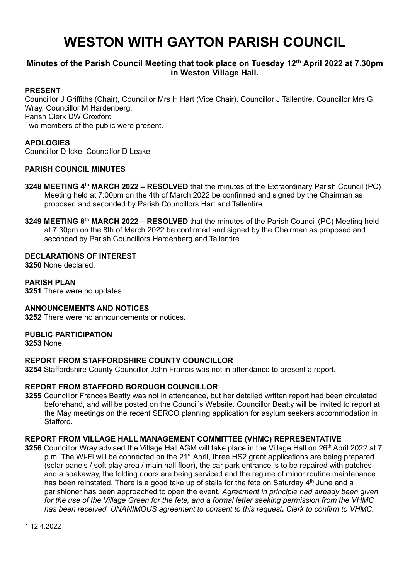# **WESTON WITH GAYTON PARISH COUNCIL**

# **Minutes of the Parish Council Meeting that took place on Tuesday 12th April 2022 at 7.30pm in Weston Village Hall.**

## **PRESENT**

Councillor J Griffiths (Chair), Councillor Mrs H Hart (Vice Chair), Councillor J Tallentire, Councillor Mrs G Wray, Councillor M Hardenberg, Parish Clerk DW Croxford Two members of the public were present.

## **APOLOGIES**

Councillor D Icke, Councillor D Leake

## **PARISH COUNCIL MINUTES**

- **3248 MEETING 4<sup>th</sup> MARCH 2022 RESOLVED** that the minutes of the Extraordinary Parish Council (PC) Meeting held at 7:00pm on the 4th of March 2022 be confirmed and signed by the Chairman as proposed and seconded by Parish Councillors Hart and Tallentire.
- **3249 MEETING 8 th MARCH 2022 – RESOLVED** that the minutes of the Parish Council (PC) Meeting held at 7:30pm on the 8th of March 2022 be confirmed and signed by the Chairman as proposed and seconded by Parish Councillors Hardenberg and Tallentire

#### **DECLARATIONS OF INTEREST**

**3250** None declared.

# **PARISH PLAN**

**3251** There were no updates.

#### **ANNOUNCEMENTS AND NOTICES**

**3252** There were no announcements or notices.

#### **PUBLIC PARTICIPATION**

**3253** None.

# **REPORT FROM STAFFORDSHIRE COUNTY COUNCILLOR**

**3254** Staffordshire County Councillor John Francis was not in attendance to present a report.

## **REPORT FROM STAFFORD BOROUGH COUNCILLOR**

**3255** Councillor Frances Beatty was not in attendance, but her detailed written report had been circulated beforehand, and will be posted on the Council's Website. Councillor Beatty will be invited to report at the May meetings on the recent SERCO planning application for asylum seekers accommodation in **Stafford** 

#### **REPORT FROM VILLAGE HALL MANAGEMENT COMMITTEE (VHMC) REPRESENTATIVE**

**3256** Councillor Wray advised the Village Hall AGM will take place in the Village Hall on 26<sup>th</sup> April 2022 at 7 p.m. The Wi-Fi will be connected on the 21<sup>st</sup> April, three HS2 grant applications are being prepared (solar panels / soft play area / main hall floor), the car park entrance is to be repaired with patches and a soakaway, the folding doors are being serviced and the regime of minor routine maintenance has been reinstated. There is a good take up of stalls for the fete on Saturday  $4<sup>th</sup>$  June and a parishioner has been approached to open the event. *Agreement in principle had already been given for the use of the Village Green for the fete, and a formal letter seeking permission from the VHMC has been received. UNANIMOUS agreement to consent to this request***.** *Clerk to confirm to VHMC.*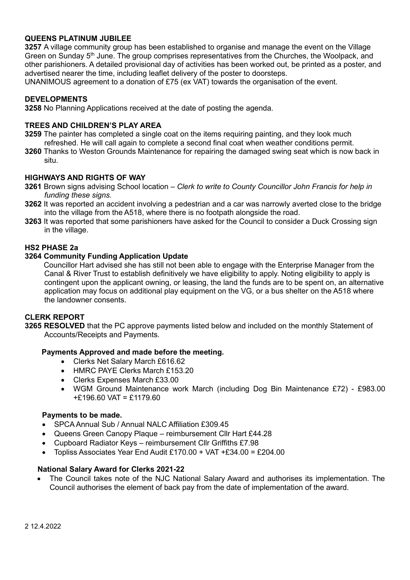# **QUEENS PLATINUM JUBILEE**

**3257** A village community group has been established to organise and manage the event on the Village Green on Sunday  $5<sup>th</sup>$  June. The group comprises representatives from the Churches, the Woolpack, and other parishioners. A detailed provisional day of activities has been worked out, be printed as a poster, and advertised nearer the time, including leaflet delivery of the poster to doorsteps.

UNANIMOUS agreement to a donation of £75 (ex VAT) towards the organisation of the event.

#### **DEVELOPMENTS**

**3258** No Planning Applications received at the date of posting the agenda.

#### **TREES AND CHILDREN'S PLAY AREA**

- **3259** The painter has completed a single coat on the items requiring painting, and they look much refreshed. He will call again to complete a second final coat when weather conditions permit.
- **3260** Thanks to Weston Grounds Maintenance for repairing the damaged swing seat which is now back in situ.

# **HIGHWAYS AND RIGHTS OF WAY**

- **3261** Brown signs advising School location *Clerk to write to County Councillor John Francis for help in funding these signs.*
- **3262** It was reported an accident involving a pedestrian and a car was narrowly averted close to the bridge into the village from the A518, where there is no footpath alongside the road.
- **3263** It was reported that some parishioners have asked for the Council to consider a Duck Crossing sign in the village.

#### **HS2 PHASE 2a**

#### **3264 Community Funding Application Update**

 Councillor Hart advised she has still not been able to engage with the Enterprise Manager from the Canal & River Trust to establish definitively we have eligibility to apply. Noting eligibility to apply is contingent upon the applicant owning, or leasing, the land the funds are to be spent on, an alternative application may focus on additional play equipment on the VG, or a bus shelter on the A518 where the landowner consents.

# **CLERK REPORT**

**3265 RESOLVED** that the PC approve payments listed below and included on the monthly Statement of Accounts/Receipts and Payments.

#### **Payments Approved and made before the meeting.**

- Clerks Net Salary March £616.62
- HMRC PAYE Clerks March £153.20
- Clerks Expenses March £33.00
- WGM Ground Maintenance work March (including Dog Bin Maintenance £72) £983.00 +£196.60 VAT = £1179.60

#### **Payments to be made.**

- SPCA Annual Sub / Annual NALC Affiliation £309.45
- Queens Green Canopy Plaque reimbursement Cllr Hart £44.28
- Cupboard Radiator Keys reimbursement Cllr Griffiths £7.98
- Topliss Associates Year End Audit £170.00 + VAT +£34.00 = £204.00

#### **National Salary Award for Clerks 2021-22**

• The Council takes note of the NJC National Salary Award and authorises its implementation. The Council authorises the element of back pay from the date of implementation of the award.